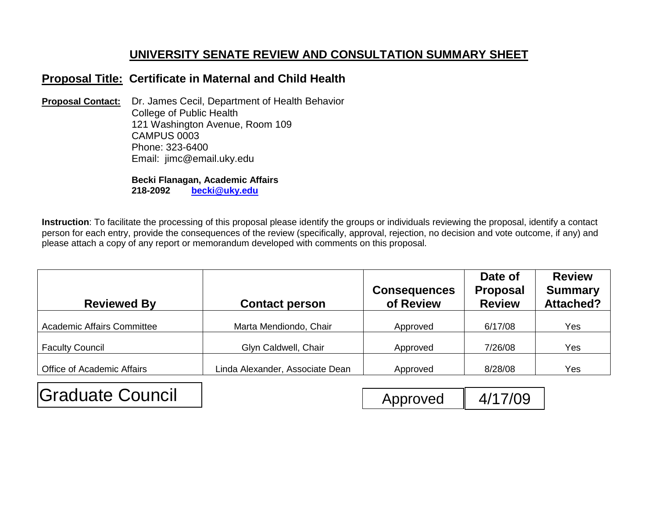## **UNIVERSITY SENATE REVIEW AND CONSULTATION SUMMARY SHEET**

## **Proposal Title: Certificate in Maternal and Child Health**

**Proposal Contact:** Dr. James Cecil, Department of Health Behavior College of Public Health 121 Washington Avenue, Room 109 CAMPUS 0003 Phone: 323-6400 Email: jimc@email.uky.edu

> **Becki Flanagan, Academic Affairs 218-2092 [becki@uky.edu](mailto:becki@uky.edu)**

**Instruction**: To facilitate the processing of this proposal please identify the groups or individuals reviewing the proposal, identify a contact person for each entry, provide the consequences of the review (specifically, approval, rejection, no decision and vote outcome, if any) and please attach a copy of any report or memorandum developed with comments on this proposal.

| <b>Reviewed By</b>                | <b>Contact person</b>           | <b>Consequences</b><br>of Review | Date of<br><b>Proposal</b><br><b>Review</b> | <b>Review</b><br><b>Summary</b><br><b>Attached?</b> |
|-----------------------------------|---------------------------------|----------------------------------|---------------------------------------------|-----------------------------------------------------|
| <b>Academic Affairs Committee</b> | Marta Mendiondo, Chair          | Approved                         | 6/17/08                                     | Yes                                                 |
| <b>Faculty Council</b>            | Glyn Caldwell, Chair            | Approved                         | 7/26/08                                     | Yes                                                 |
| <b>Office of Academic Affairs</b> | Linda Alexander, Associate Dean | Approved                         | 8/28/08                                     | Yes                                                 |

Graduate Council | The Council | Approved 4/17/09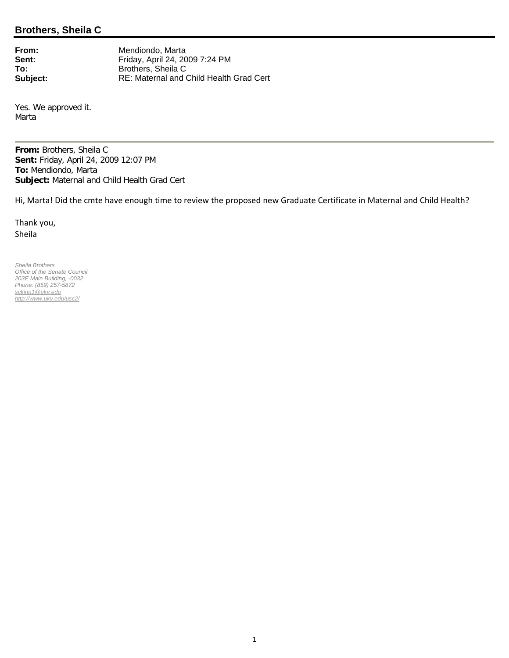## **Brothers, Sheila C**

**From:** Mendiondo, Marta<br> **Sent:** Friday, April 24, 20 Sent:<br> **Sent:**<br> **Friday, April 24, 2009 7:24 PM<br>
<b>Friday, April 24, 2009 7:24 PM**<br> **Friday, April 24, 2009 7:24 PM To:** Brothers, Sheila C<br> **Subject:** RE: Maternal and ( **Subject:** RE: Maternal and Child Health Grad Cert

Yes. We approved it. Marta

**From:** Brothers, Sheila C **Sent:** Friday, April 24, 2009 12:07 PM **To:** Mendiondo, Marta **Subject:** Maternal and Child Health Grad Cert

Hi, Marta! Did the cmte have enough time to review the proposed new Graduate Certificate in Maternal and Child Health?

Thank you, Sheila

*Sheila Brothers Office of the Senate Council 203E Main Building, -0032 Phone: (859) 257-5872 sckinn1@uky.edu http://www.uky.edu/usc2/*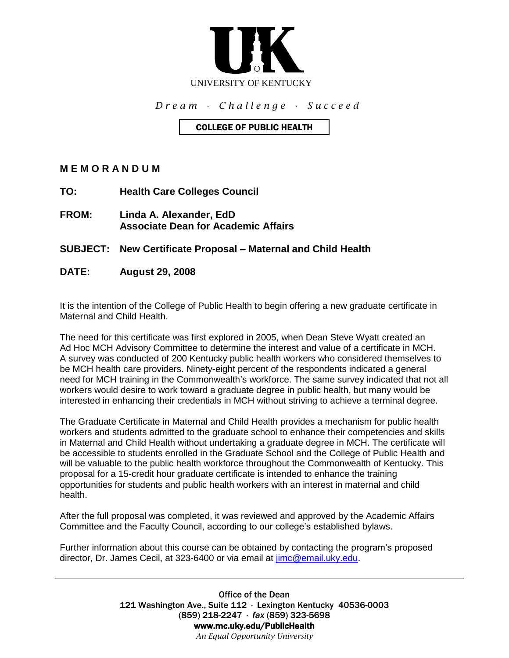

*D r e a m ∙ C h a l l e n g e ∙ S u c c e e d*

### COLLEGE OF PUBLIC HEALTH

**M E M O R A N D U M**

- **TO: Health Care Colleges Council**
- **FROM: Linda A. Alexander, EdD Associate Dean for Academic Affairs**

**SUBJECT: New Certificate Proposal – Maternal and Child Health**

**DATE: August 29, 2008**

It is the intention of the College of Public Health to begin offering a new graduate certificate in Maternal and Child Health.

The need for this certificate was first explored in 2005, when Dean Steve Wyatt created an Ad Hoc MCH Advisory Committee to determine the interest and value of a certificate in MCH. A survey was conducted of 200 Kentucky public health workers who considered themselves to be MCH health care providers. Ninety-eight percent of the respondents indicated a general need for MCH training in the Commonwealth's workforce. The same survey indicated that not all workers would desire to work toward a graduate degree in public health, but many would be interested in enhancing their credentials in MCH without striving to achieve a terminal degree.

The Graduate Certificate in Maternal and Child Health provides a mechanism for public health workers and students admitted to the graduate school to enhance their competencies and skills in Maternal and Child Health without undertaking a graduate degree in MCH. The certificate will be accessible to students enrolled in the Graduate School and the College of Public Health and will be valuable to the public health workforce throughout the Commonwealth of Kentucky. This proposal for a 15-credit hour graduate certificate is intended to enhance the training opportunities for students and public health workers with an interest in maternal and child health.

After the full proposal was completed, it was reviewed and approved by the Academic Affairs Committee and the Faculty Council, according to our college's established bylaws.

Further information about this course can be obtained by contacting the program's proposed director, Dr. James Cecil, at 323-6400 or via email at [jimc@email.uky.edu.](mailto:jimc@email.uky.edu)

> Office of the Dean 121 Washington Ave., Suite 112 ∙ Lexington Kentucky 40536-0003 (859) 218-2247 ∙ *fax* (859) 323-5698 www.mc.uky.edu/PublicHealth *An Equal Opportunity University*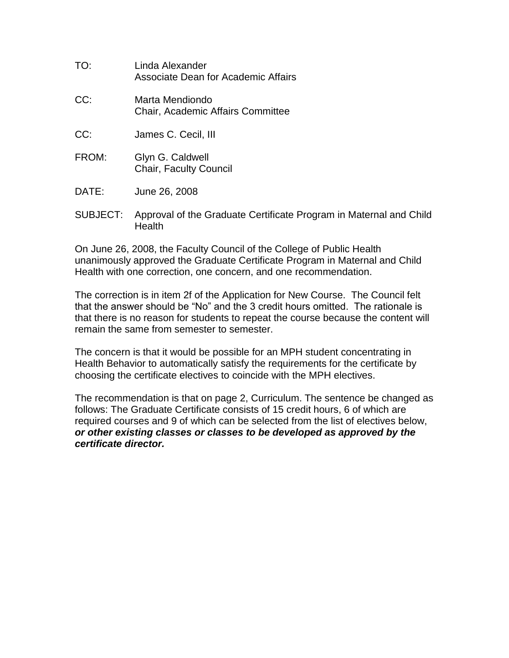| TO: | Linda Alexander<br>Associate Dean for Academic Affairs      |
|-----|-------------------------------------------------------------|
| CC: | Marta Mendiondo<br><b>Chair, Academic Affairs Committee</b> |

- CC: James C. Cecil, III
- FROM: Glyn G. Caldwell Chair, Faculty Council
- DATE: June 26, 2008
- SUBJECT: Approval of the Graduate Certificate Program in Maternal and Child Health

On June 26, 2008, the Faculty Council of the College of Public Health unanimously approved the Graduate Certificate Program in Maternal and Child Health with one correction, one concern, and one recommendation.

The correction is in item 2f of the Application for New Course. The Council felt that the answer should be "No" and the 3 credit hours omitted. The rationale is that there is no reason for students to repeat the course because the content will remain the same from semester to semester.

The concern is that it would be possible for an MPH student concentrating in Health Behavior to automatically satisfy the requirements for the certificate by choosing the certificate electives to coincide with the MPH electives.

The recommendation is that on page 2, Curriculum. The sentence be changed as follows: The Graduate Certificate consists of 15 credit hours, 6 of which are required courses and 9 of which can be selected from the list of electives below, *or other existing classes or classes to be developed as approved by the certificate director.*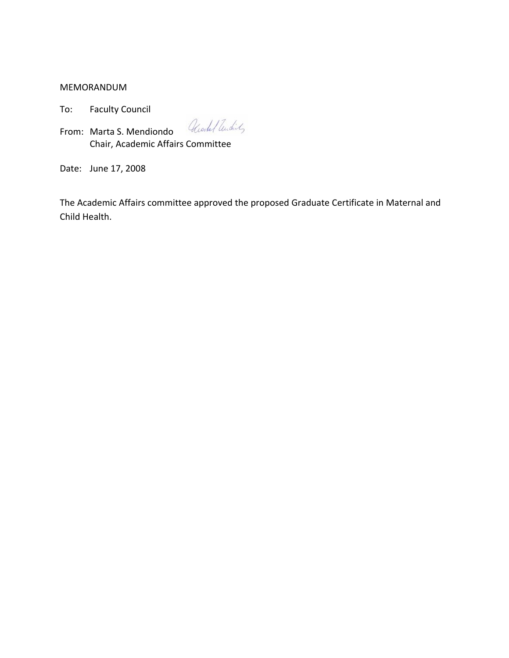MEMORANDUM

To: Faculty Council

From: Marta S. Mendiondo *Utork/Undit* Chair, Academic Affairs Committee

Date: June 17, 2008

The Academic Affairs committee approved the proposed Graduate Certificate in Maternal and Child Health.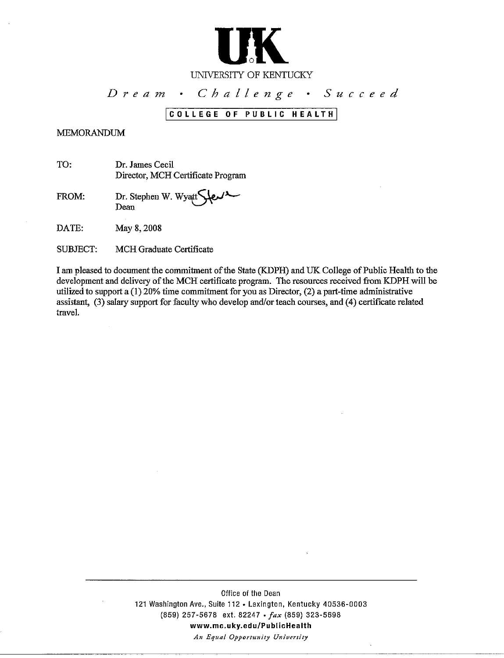

#### UNIVERSITY OF KENTUCKY

#### Challenge · Succeed  $D$  ream.

### COLLEGE OF PUBLIC HEALTH

#### **MEMORANDUM**

TO: Dr. James Cecil Director, MCH Certificate Program

FROM: Dr. Stephen W. Wyatt Dean

DATE: May 8, 2008

SUBJECT: MCH Graduate Certificate

I am pleased to document the commitment of the State (KDPH) and UK College of Public Health to the development and delivery of the MCH certificate program. The resources received from KDPH will be utilized to support a  $(1)$  20% time commitment for you as Director,  $(2)$  a part-time administrative assistant, (3) salary support for faculty who develop and/or teach courses, and (4) certificate related travel.

> Office of the Dean 121 Washington Ave., Suite 112 . Lexington, Kentucky 40536-0003 (859) 257-5678 ext. 82247 · fax (859) 323-5698 www.mc.uky.edu/PublicHealth An Equal Opportunity University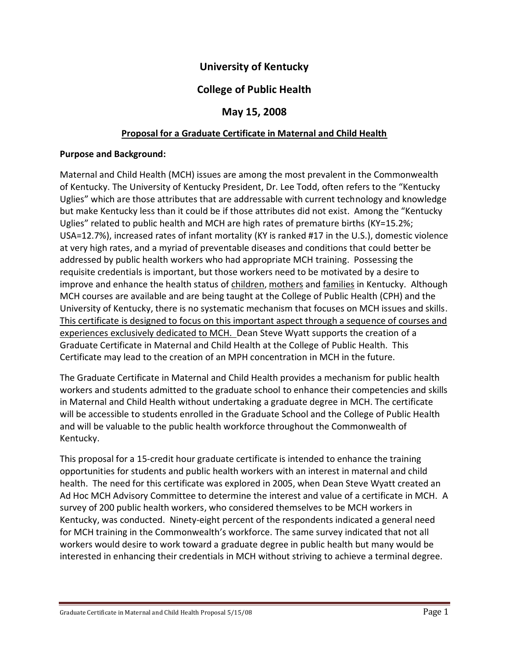## **University of Kentucky**

## **College of Public Health**

### **May 15, 2008**

### **Proposal for a Graduate Certificate in Maternal and Child Health**

### **Purpose and Background:**

Maternal and Child Health (MCH) issues are among the most prevalent in the Commonwealth of Kentucky. The University of Kentucky President, Dr. Lee Todd, often refers to the "Kentucky Uglies" which are those attributes that are addressable with current technology and knowledge but make Kentucky less than it could be if those attributes did not exist. Among the "Kentucky Uglies" related to public health and MCH are high rates of premature births (KY=15.2%; USA=12.7%), increased rates of infant mortality (KY is ranked #17 in the U.S.), domestic violence at very high rates, and a myriad of preventable diseases and conditions that could better be addressed by public health workers who had appropriate MCH training. Possessing the requisite credentials is important, but those workers need to be motivated by a desire to improve and enhance the health status of children, mothers and families in Kentucky. Although MCH courses are available and are being taught at the College of Public Health (CPH) and the University of Kentucky, there is no systematic mechanism that focuses on MCH issues and skills. This certificate is designed to focus on this important aspect through a sequence of courses and experiences exclusively dedicated to MCH. Dean Steve Wyatt supports the creation of a Graduate Certificate in Maternal and Child Health at the College of Public Health. This Certificate may lead to the creation of an MPH concentration in MCH in the future.

The Graduate Certificate in Maternal and Child Health provides a mechanism for public health workers and students admitted to the graduate school to enhance their competencies and skills in Maternal and Child Health without undertaking a graduate degree in MCH. The certificate will be accessible to students enrolled in the Graduate School and the College of Public Health and will be valuable to the public health workforce throughout the Commonwealth of Kentucky.

This proposal for a 15-credit hour graduate certificate is intended to enhance the training opportunities for students and public health workers with an interest in maternal and child health. The need for this certificate was explored in 2005, when Dean Steve Wyatt created an Ad Hoc MCH Advisory Committee to determine the interest and value of a certificate in MCH. A survey of 200 public health workers, who considered themselves to be MCH workers in Kentucky, was conducted. Ninety-eight percent of the respondents indicated a general need for MCH training in the Commonwealth's workforce. The same survey indicated that not all workers would desire to work toward a graduate degree in public health but many would be interested in enhancing their credentials in MCH without striving to achieve a terminal degree.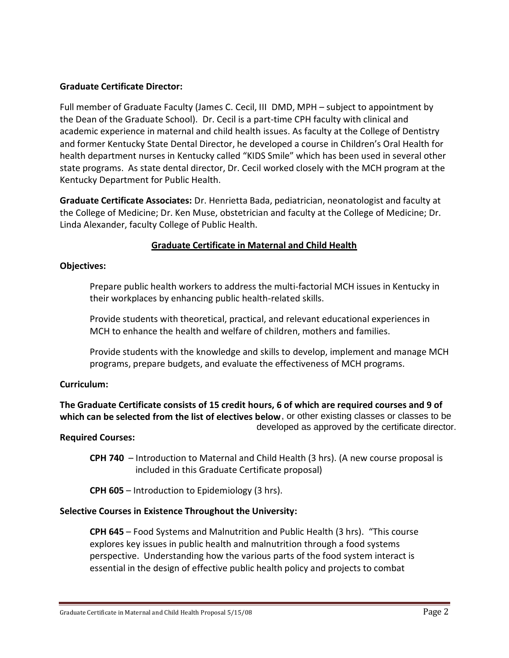### **Graduate Certificate Director:**

Full member of Graduate Faculty (James C. Cecil, III DMD, MPH – subject to appointment by the Dean of the Graduate School). Dr. Cecil is a part-time CPH faculty with clinical and academic experience in maternal and child health issues. As faculty at the College of Dentistry and former Kentucky State Dental Director, he developed a course in Children's Oral Health for health department nurses in Kentucky called "KIDS Smile" which has been used in several other state programs. As state dental director, Dr. Cecil worked closely with the MCH program at the Kentucky Department for Public Health.

**Graduate Certificate Associates:** Dr. Henrietta Bada, pediatrician, neonatologist and faculty at the College of Medicine; Dr. Ken Muse, obstetrician and faculty at the College of Medicine; Dr. Linda Alexander, faculty College of Public Health.

### **Graduate Certificate in Maternal and Child Health**

### **Objectives:**

Prepare public health workers to address the multi-factorial MCH issues in Kentucky in their workplaces by enhancing public health-related skills.

Provide students with theoretical, practical, and relevant educational experiences in MCH to enhance the health and welfare of children, mothers and families.

Provide students with the knowledge and skills to develop, implement and manage MCH programs, prepare budgets, and evaluate the effectiveness of MCH programs.

### **Curriculum:**

**The Graduate Certificate consists of 15 credit hours, 6 of which are required courses and 9 of which can be selected from the list of electives below.** , or other existing classes or classes to be developed as approved by the certificate director.

#### **Required Courses:**

**CPH 740** – Introduction to Maternal and Child Health (3 hrs). (A new course proposal is included in this Graduate Certificate proposal)

**CPH 605** – Introduction to Epidemiology (3 hrs).

### **Selective Courses in Existence Throughout the University:**

**CPH 645** – Food Systems and Malnutrition and Public Health (3 hrs). "This course explores key issues in public health and malnutrition through a food systems perspective. Understanding how the various parts of the food system interact is essential in the design of effective public health policy and projects to combat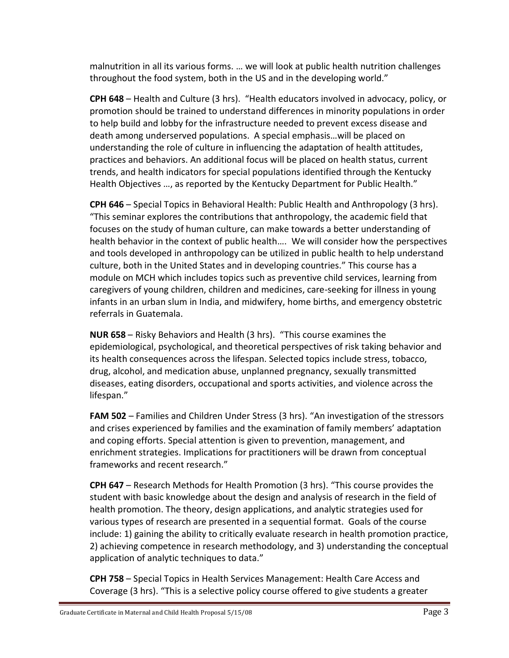malnutrition in all its various forms. … we will look at public health nutrition challenges throughout the food system, both in the US and in the developing world."

**CPH 648** – Health and Culture (3 hrs). "Health educators involved in advocacy, policy, or promotion should be trained to understand differences in minority populations in order to help build and lobby for the infrastructure needed to prevent excess disease and death among underserved populations. A special emphasis…will be placed on understanding the role of culture in influencing the adaptation of health attitudes, practices and behaviors. An additional focus will be placed on health status, current trends, and health indicators for special populations identified through the Kentucky Health Objectives …, as reported by the Kentucky Department for Public Health."

**CPH 646** – Special Topics in Behavioral Health: Public Health and Anthropology (3 hrs). "This seminar explores the contributions that anthropology, the academic field that focuses on the study of human culture, can make towards a better understanding of health behavior in the context of public health…. We will consider how the perspectives and tools developed in anthropology can be utilized in public health to help understand culture, both in the United States and in developing countries." This course has a module on MCH which includes topics such as preventive child services, learning from caregivers of young children, children and medicines, care-seeking for illness in young infants in an urban slum in India, and midwifery, home births, and emergency obstetric referrals in Guatemala.

**NUR 658** – Risky Behaviors and Health (3 hrs). "This course examines the epidemiological, psychological, and theoretical perspectives of risk taking behavior and its health consequences across the lifespan. Selected topics include stress, tobacco, drug, alcohol, and medication abuse, unplanned pregnancy, sexually transmitted diseases, eating disorders, occupational and sports activities, and violence across the lifespan."

**FAM 502** – Families and Children Under Stress (3 hrs). "An investigation of the stressors and crises experienced by families and the examination of family members' adaptation and coping efforts. Special attention is given to prevention, management, and enrichment strategies. Implications for practitioners will be drawn from conceptual frameworks and recent research."

**CPH 647** – Research Methods for Health Promotion (3 hrs). "This course provides the student with basic knowledge about the design and analysis of research in the field of health promotion. The theory, design applications, and analytic strategies used for various types of research are presented in a sequential format. Goals of the course include: 1) gaining the ability to critically evaluate research in health promotion practice, 2) achieving competence in research methodology, and 3) understanding the conceptual application of analytic techniques to data."

**CPH 758** – Special Topics in Health Services Management: Health Care Access and Coverage (3 hrs). "This is a selective policy course offered to give students a greater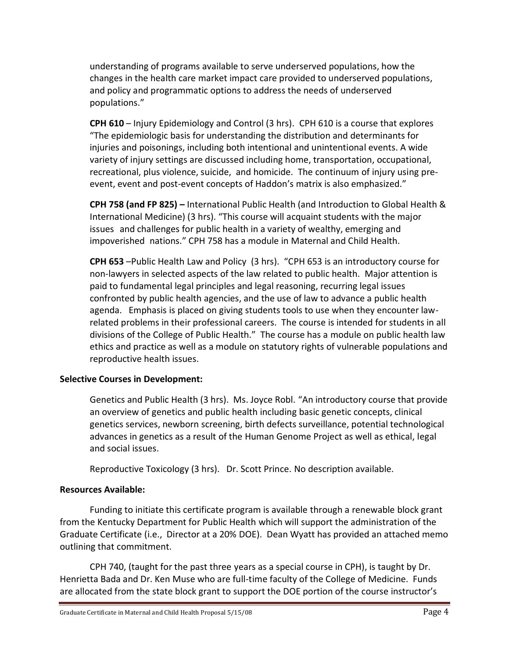understanding of programs available to serve underserved populations, how the changes in the health care market impact care provided to underserved populations, and policy and programmatic options to address the needs of underserved populations."

**CPH 610** – Injury Epidemiology and Control (3 hrs). CPH 610 is a course that explores "The epidemiologic basis for understanding the distribution and determinants for injuries and poisonings, including both intentional and unintentional events. A wide variety of injury settings are discussed including home, transportation, occupational, recreational, plus violence, suicide, and homicide. The continuum of injury using preevent, event and post-event concepts of Haddon's matrix is also emphasized."

**CPH 758 (and FP 825) –** International Public Health (and Introduction to Global Health & International Medicine) (3 hrs). "This course will acquaint students with the major issues and challenges for public health in a variety of wealthy, emerging and impoverished nations." CPH 758 has a module in Maternal and Child Health.

**CPH 653** –Public Health Law and Policy (3 hrs). "CPH 653 is an introductory course for non-lawyers in selected aspects of the law related to public health. Major attention is paid to fundamental legal principles and legal reasoning, recurring legal issues confronted by public health agencies, and the use of law to advance a public health agenda. Emphasis is placed on giving students tools to use when they encounter lawrelated problems in their professional careers. The course is intended for students in all divisions of the College of Public Health." The course has a module on public health law ethics and practice as well as a module on statutory rights of vulnerable populations and reproductive health issues.

### **Selective Courses in Development:**

Genetics and Public Health (3 hrs). Ms. Joyce Robl. "An introductory course that provide an overview of genetics and public health including basic genetic concepts, clinical genetics services, newborn screening, birth defects surveillance, potential technological advances in genetics as a result of the Human Genome Project as well as ethical, legal and social issues.

Reproductive Toxicology (3 hrs). Dr. Scott Prince. No description available.

### **Resources Available:**

Funding to initiate this certificate program is available through a renewable block grant from the Kentucky Department for Public Health which will support the administration of the Graduate Certificate (i.e., Director at a 20% DOE). Dean Wyatt has provided an attached memo outlining that commitment.

CPH 740, (taught for the past three years as a special course in CPH), is taught by Dr. Henrietta Bada and Dr. Ken Muse who are full-time faculty of the College of Medicine. Funds are allocated from the state block grant to support the DOE portion of the course instructor's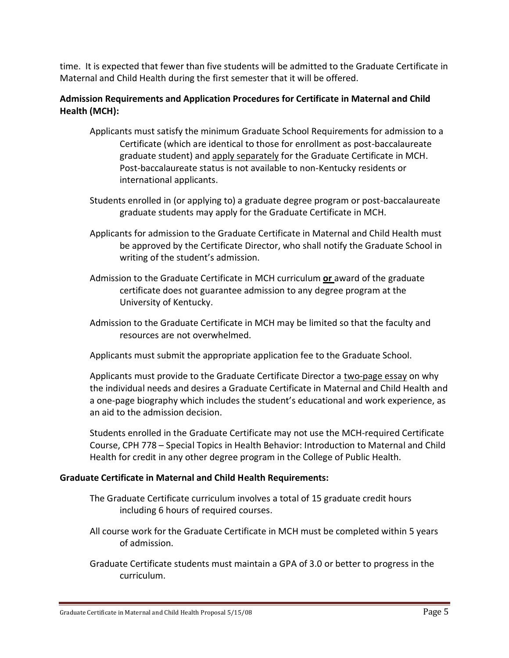time. It is expected that fewer than five students will be admitted to the Graduate Certificate in Maternal and Child Health during the first semester that it will be offered.

### **Admission Requirements and Application Procedures for Certificate in Maternal and Child Health (MCH):**

- Applicants must satisfy the minimum Graduate School Requirements for admission to a Certificate (which are identical to those for enrollment as post-baccalaureate graduate student) and apply separately for the Graduate Certificate in MCH. Post-baccalaureate status is not available to non-Kentucky residents or international applicants.
- Students enrolled in (or applying to) a graduate degree program or post-baccalaureate graduate students may apply for the Graduate Certificate in MCH.
- Applicants for admission to the Graduate Certificate in Maternal and Child Health must be approved by the Certificate Director, who shall notify the Graduate School in writing of the student's admission.
- Admission to the Graduate Certificate in MCH curriculum **or** award of the graduate certificate does not guarantee admission to any degree program at the University of Kentucky.
- Admission to the Graduate Certificate in MCH may be limited so that the faculty and resources are not overwhelmed.

Applicants must submit the appropriate application fee to the Graduate School.

Applicants must provide to the Graduate Certificate Director a two-page essay on why the individual needs and desires a Graduate Certificate in Maternal and Child Health and a one-page biography which includes the student's educational and work experience, as an aid to the admission decision.

Students enrolled in the Graduate Certificate may not use the MCH-required Certificate Course, CPH 778 – Special Topics in Health Behavior: Introduction to Maternal and Child Health for credit in any other degree program in the College of Public Health.

### **Graduate Certificate in Maternal and Child Health Requirements:**

- The Graduate Certificate curriculum involves a total of 15 graduate credit hours including 6 hours of required courses.
- All course work for the Graduate Certificate in MCH must be completed within 5 years of admission.
- Graduate Certificate students must maintain a GPA of 3.0 or better to progress in the curriculum.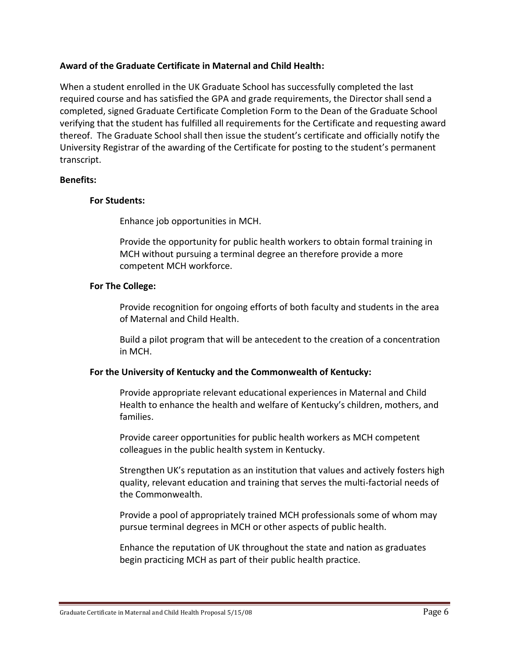### **Award of the Graduate Certificate in Maternal and Child Health:**

When a student enrolled in the UK Graduate School has successfully completed the last required course and has satisfied the GPA and grade requirements, the Director shall send a completed, signed Graduate Certificate Completion Form to the Dean of the Graduate School verifying that the student has fulfilled all requirements for the Certificate and requesting award thereof. The Graduate School shall then issue the student's certificate and officially notify the University Registrar of the awarding of the Certificate for posting to the student's permanent transcript.

### **Benefits:**

### **For Students:**

Enhance job opportunities in MCH.

Provide the opportunity for public health workers to obtain formal training in MCH without pursuing a terminal degree an therefore provide a more competent MCH workforce.

### **For The College:**

Provide recognition for ongoing efforts of both faculty and students in the area of Maternal and Child Health.

Build a pilot program that will be antecedent to the creation of a concentration in MCH.

### **For the University of Kentucky and the Commonwealth of Kentucky:**

Provide appropriate relevant educational experiences in Maternal and Child Health to enhance the health and welfare of Kentucky's children, mothers, and families.

Provide career opportunities for public health workers as MCH competent colleagues in the public health system in Kentucky.

Strengthen UK's reputation as an institution that values and actively fosters high quality, relevant education and training that serves the multi-factorial needs of the Commonwealth.

Provide a pool of appropriately trained MCH professionals some of whom may pursue terminal degrees in MCH or other aspects of public health.

Enhance the reputation of UK throughout the state and nation as graduates begin practicing MCH as part of their public health practice.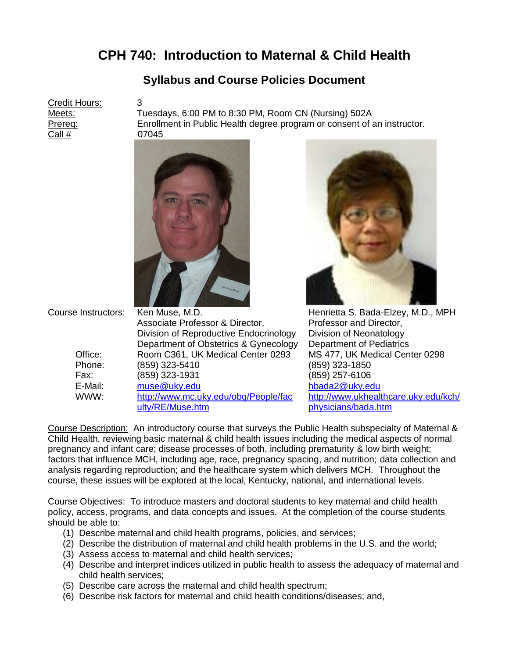# **CPH 740: Introduction to Maternal & Child Health**

## **Syllabus and Course Policies Document**

Credit Hours: 3 Call # 07045

Meets: Tuesdays, 6:00 PM to 8:30 PM, Room CN (Nursing) 502A Prereq: Enrollment in Public Health degree program or consent of an instructor.





Course Instructors: Ken Muse, M.D. **Henrietta S. Bada-Elzey, M.D., MPH** Associate Professor & Director, Professor and Director, Division of Reproductive Endocrinology Division of Neonatology Department of Obstetrics & Gynecology Department of Pediatrics Office: Room C361, UK Medical Center 0293 MS 477, UK Medical Center 0298 Phone: (859) 323-5410 (859) 323-1850 Fax: (859) 323-1931 (859) 257-6106 E-Mail: [muse@uky.edu](mailto:muse@uky.edu) [hbada2@uky.edu](mailto:hbada2@uky.edu) WWW: [http://www.mc.uky.edu/obg/People/fac](http://www.mc.uky.edu/obg/People/faculty/RE/Muse.htm) [ulty/RE/Muse.htm](http://www.mc.uky.edu/obg/People/faculty/RE/Muse.htm) [http://www.ukhealthcare.uky.edu/kch/](http://www.ukhealthcare.uky.edu/kch/physicians/bada.htm) [physicians/bada.htm](http://www.ukhealthcare.uky.edu/kch/physicians/bada.htm)

Course Description: An introductory course that surveys the Public Health subspecialty of Maternal & Child Health, reviewing basic maternal & child health issues including the medical aspects of normal pregnancy and infant care; disease processes of both, including prematurity & low birth weight; factors that influence MCH, including age, race, pregnancy spacing, and nutrition; data collection and analysis regarding reproduction; and the healthcare system which delivers MCH. Throughout the course, these issues will be explored at the local, Kentucky, national, and international levels.

Course Objectives: To introduce masters and doctoral students to key maternal and child health policy, access, programs, and data concepts and issues. At the completion of the course students should be able to:

- (1) Describe maternal and child health programs, policies, and services;
- (2) Describe the distribution of maternal and child health problems in the U.S. and the world;
- (3) Assess access to maternal and child health services;
- (4) Describe and interpret indices utilized in public health to assess the adequacy of maternal and child health services;
- (5) Describe care across the maternal and child health spectrum;
- (6) Describe risk factors for maternal and child health conditions/diseases; and,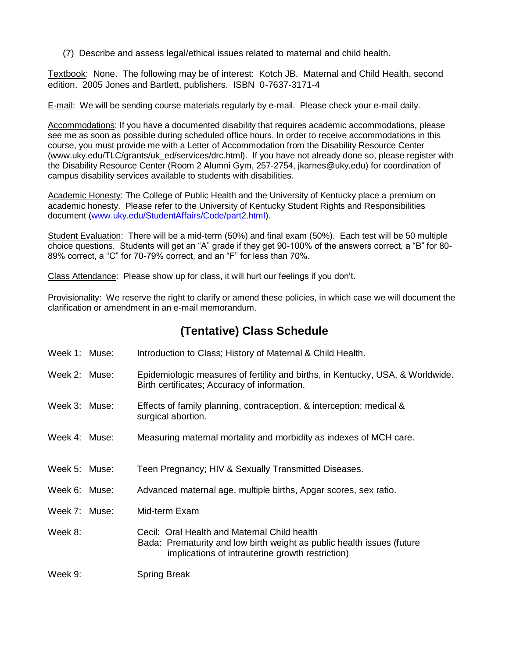(7) Describe and assess legal/ethical issues related to maternal and child health.

Textbook: None. The following may be of interest: Kotch JB. Maternal and Child Health, second edition. 2005 Jones and Bartlett, publishers. ISBN 0-7637-3171-4

E-mail: We will be sending course materials regularly by e-mail. Please check your e-mail daily.

Accommodations: If you have a documented disability that requires academic accommodations, please see me as soon as possible during scheduled office hours. In order to receive accommodations in this course, you must provide me with a Letter of Accommodation from the Disability Resource Center (www.uky.edu/TLC/grants/uk\_ed/services/drc.html). If you have not already done so, please register with the Disability Resource Center (Room 2 Alumni Gym, 257-2754, jkarnes@uky.edu) for coordination of campus disability services available to students with disabilities.

Academic Honesty: The College of Public Health and the University of Kentucky place a premium on academic honesty. Please refer to the University of Kentucky Student Rights and Responsibilities document [\(www.uky.edu/StudentAffairs/Code/part2.html\)](http://www.uky.edu/StudentAffairs/Code/part2.html).

Student Evaluation: There will be a mid-term (50%) and final exam (50%). Each test will be 50 multiple choice questions. Students will get an "A" grade if they get 90-100% of the answers correct, a "B" for 80- 89% correct, a "C" for 70-79% correct, and an "F" for less than 70%.

Class Attendance: Please show up for class, it will hurt our feelings if you don't.

Provisionality: We reserve the right to clarify or amend these policies, in which case we will document the clarification or amendment in an e-mail memorandum.

## **(Tentative) Class Schedule**

- Week 1: Muse: Introduction to Class; History of Maternal & Child Health.
- Week 2: Muse: Epidemiologic measures of fertility and births, in Kentucky, USA, & Worldwide. Birth certificates; Accuracy of information.
- Week 3: Muse: Effects of family planning, contraception, & interception; medical & surgical abortion.
- Week 4: Muse: Measuring maternal mortality and morbidity as indexes of MCH care.
- Week 5: Muse: Teen Pregnancy; HIV & Sexually Transmitted Diseases.
- Week 6: Muse: Advanced maternal age, multiple births, Apgar scores, sex ratio.
- Week 7: Muse: Mid-term Exam
- Week 8: Cecil: Oral Health and Maternal Child health Bada: Prematurity and low birth weight as public health issues (future implications of intrauterine growth restriction)

Week 9: Spring Break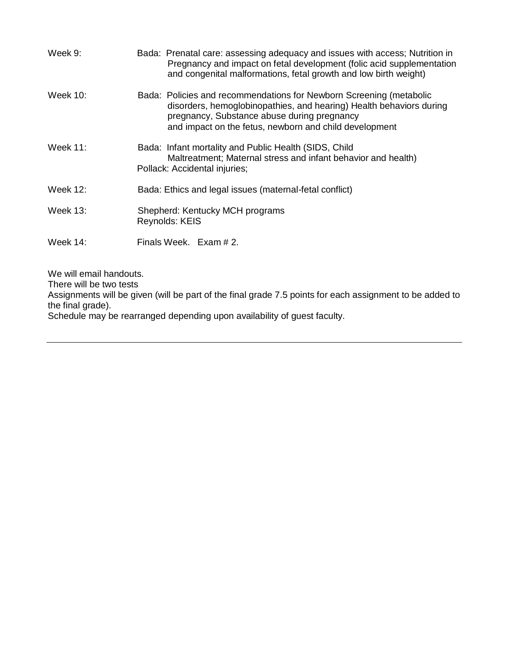| Week 9:  | Bada: Prenatal care: assessing adequacy and issues with access; Nutrition in<br>Pregnancy and impact on fetal development (folic acid supplementation<br>and congenital malformations, fetal growth and low birth weight)                           |
|----------|-----------------------------------------------------------------------------------------------------------------------------------------------------------------------------------------------------------------------------------------------------|
| Week 10: | Bada: Policies and recommendations for Newborn Screening (metabolic<br>disorders, hemoglobinopathies, and hearing) Health behaviors during<br>pregnancy, Substance abuse during pregnancy<br>and impact on the fetus, newborn and child development |
| Week 11: | Bada: Infant mortality and Public Health (SIDS, Child<br>Maltreatment; Maternal stress and infant behavior and health)<br>Pollack: Accidental injuries;                                                                                             |
| Week 12: | Bada: Ethics and legal issues (maternal-fetal conflict)                                                                                                                                                                                             |
| Week 13: | Shepherd: Kentucky MCH programs<br>Reynolds: KEIS                                                                                                                                                                                                   |
| Week 14: | Finals Week. Exam # 2.                                                                                                                                                                                                                              |

We will email handouts.

There will be two tests

Assignments will be given (will be part of the final grade 7.5 points for each assignment to be added to the final grade).

Schedule may be rearranged depending upon availability of guest faculty.